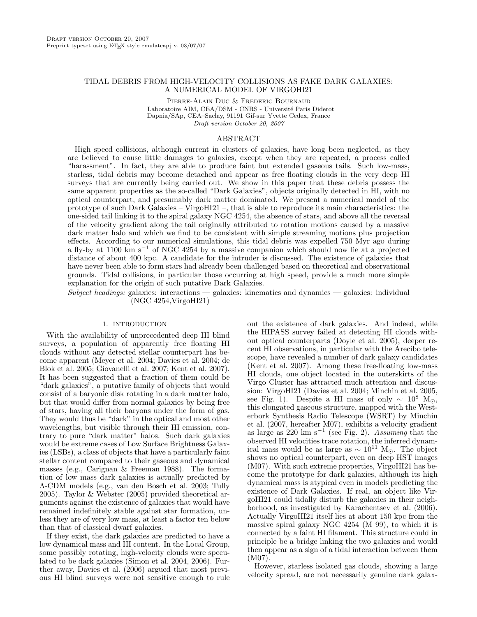# TIDAL DEBRIS FROM HIGH-VELOCITY COLLISIONS AS FAKE DARK GALAXIES: A NUMERICAL MODEL OF VIRGOHI21

Pierre-Alain Duc & Frederic Bournaud Laboratoire AIM, CEA/DSM - CNRS - Université Paris Diderot Dapnia/SAp, CEA–Saclay, 91191 Gif-sur Yvette Cedex, France Draft version October 20, 2007

### ABSTRACT

High speed collisions, although current in clusters of galaxies, have long been neglected, as they are believed to cause little damages to galaxies, except when they are repeated, a process called "harassment". In fact, they are able to produce faint but extended gaseous tails. Such low-mass, starless, tidal debris may become detached and appear as free floating clouds in the very deep HI surveys that are currently being carried out. We show in this paper that these debris possess the same apparent properties as the so-called "Dark Galaxies", objects originally detected in HI, with no optical counterpart, and presumably dark matter dominated. We present a numerical model of the prototype of such Dark Galaxies – VirgoHI21 –, that is able to reproduce its main characteristics: the one-sided tail linking it to the spiral galaxy NGC 4254, the absence of stars, and above all the reversal of the velocity gradient along the tail originally attributed to rotation motions caused by a massive dark matter halo and which we find to be consistent with simple streaming motions plus projection effects. According to our numerical simulations, this tidal debris was expelled 750 Myr ago during a fly-by at 1100 km s<sup>−</sup><sup>1</sup> of NGC 4254 by a massive companion which should now lie at a projected distance of about 400 kpc. A candidate for the intruder is discussed. The existence of galaxies that have never been able to form stars had already been challenged based on theoretical and observational grounds. Tidal collisions, in particular those occurring at high speed, provide a much more simple explanation for the origin of such putative Dark Galaxies.

Subject headings: galaxies: interactions — galaxies: kinematics and dynamics — galaxies: individual (NGC 4254,VirgoHI21)

### 1. INTRODUCTION

With the availability of unprecedented deep HI blind surveys, a population of apparently free floating HI clouds without any detected stellar counterpart has become apparent (Meyer et al. 2004; Davies et al. 2004; de Blok et al. 2005; Giovanelli et al. 2007; Kent et al. 2007). It has been suggested that a fraction of them could be "dark galaxies", a putative family of objects that would consist of a baryonic disk rotating in a dark matter halo, but that would differ from normal galaxies by being free of stars, having all their baryons under the form of gas. They would thus be "dark" in the optical and most other wavelengths, but visible through their HI emission, contrary to pure "dark matter" halos. Such dark galaxies would be extreme cases of Low Surface Brightness Galaxies (LSBs), a class of objects that have a particularly faint stellar content compared to their gaseous and dynamical masses (e.g., Carignan & Freeman 1988). The formation of low mass dark galaxies is actually predicted by Λ-CDM models (e.g., van den Bosch et al. 2003; Tully 2005). Taylor & Webster (2005) provided theoretical arguments against the existence of galaxies that would have remained indefinitely stable against star formation, unless they are of very low mass, at least a factor ten below than that of classical dwarf galaxies.

If they exist, the dark galaxies are predicted to have a low dynamical mass and HI content. In the Local Group, some possibly rotating, high-velocity clouds were speculated to be dark galaxies (Simon et al. 2004, 2006). Further away, Davies et al. (2006) argued that most previous HI blind surveys were not sensitive enough to rule

out the existence of dark galaxies. And indeed, while the HIPASS survey failed at detecting HI clouds without optical counterparts (Doyle et al. 2005), deeper recent HI observations, in particular with the Arecibo telescope, have revealed a number of dark galaxy candidates (Kent et al. 2007). Among these free-floating low-mass HI clouds, one object located in the outerskirts of the Virgo Cluster has attracted much attention and discussion: VirgoHI21 (Davies et al. 2004; Minchin et al. 2005, see Fig. 1). Despite a HI mass of only  $\sim 10^8$  M<sub> $\odot$ </sub>, this elongated gaseous structure, mapped with the Westerbork Synthesis Radio Telescope (WSRT) by Minchin et al. (2007, hereafter M07), exhibits a velocity gradient as large as 220 km s<sup>-1</sup> (see Fig. 2). Assuming that the observed HI velocities trace rotation, the inferred dynamical mass would be as large as  $\sim 10^{11}$  M<sub> $\odot$ </sub>. The object shows no optical counterpart, even on deep HST images (M07). With such extreme properties, VirgoHI21 has become the prototype for dark galaxies, although its high dynamical mass is atypical even in models predicting the existence of Dark Galaxies. If real, an object like VirgoHI21 could tidally disturb the galaxies in their neighborhood, as investigated by Karachentsev et al. (2006). Actually VirgoHI21 itself lies at about 150 kpc from the massive spiral galaxy NGC 4254 (M 99), to which it is connected by a faint HI filament. This structure could in principle be a bridge linking the two galaxies and would then appear as a sign of a tidal interaction between them (M07).

However, starless isolated gas clouds, showing a large velocity spread, are not necessarily genuine dark galax-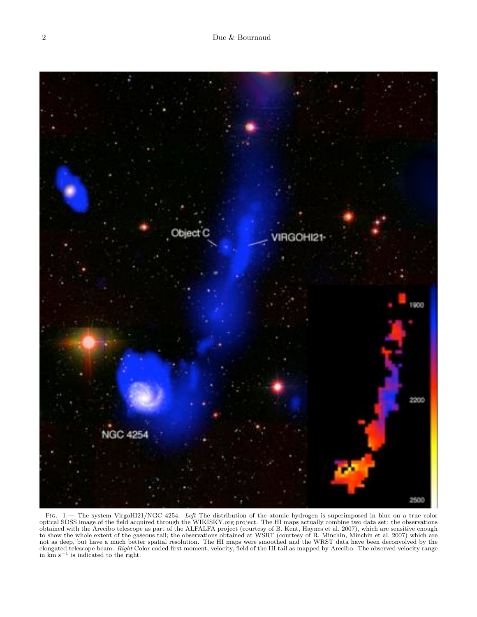

FIG. 1.— The system VirgoHI21/NGC 4254. Left The distribution of the atomic hydrogen is superimposed in blue on a true color optical SDSS image of the field acquired through the WIKISKY.org project. The HI maps actually combine two data set: the observations obtained with the Arecibo telescope as part of the ALFALFA project (courtesy of B. Kent, Haynes et al. 2007), which are sensitive enough to show the whole extent of the gaseous tail; the observations obtained at WSRT (courtesy of R. Minchin, Minchin et al. 2007) which are not as deep, but have a much better spatial resolution. The HI maps were smoothed and the WRST data have been deconvolved by the elongated telescope beam. Right Color coded first moment, velocity, field of the HI tail as mapped by Arecibo. The observed velocity range in km s−<sup>1</sup> is indicated to the right.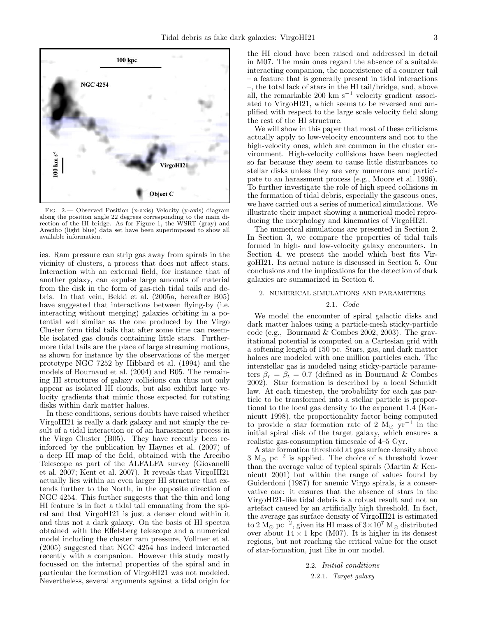

Fig. 2.— Observed Position (x-axis) Velocity (y-axis) diagram along the position angle 22 degrees corresponding to the main direction of the HI bridge. As for Figure 1, the WSRT (gray) and Arecibo (light blue) data set have been superimposed to show all available information.

ies. Ram pressure can strip gas away from spirals in the vicinity of clusters, a process that does not affect stars. Interaction with an external field, for instance that of another galaxy, can expulse large amounts of material from the disk in the form of gas-rich tidal tails and debris. In that vein, Bekki et al. (2005a, hereafter B05) have suggested that interactions between flying-by (i.e. interacting without merging) galaxies orbiting in a potential well similar as the one produced by the Virgo Cluster form tidal tails that after some time can resemble isolated gas clouds containing little stars. Furthermore tidal tails are the place of large streaming motions, as shown for instance by the observations of the merger prototype NGC 7252 by Hibbard et al. (1994) and the models of Bournaud et al. (2004) and B05. The remaining HI structures of galaxy collisions can thus not only appear as isolated HI clouds, but also exhibit large velocity gradients that mimic those expected for rotating disks within dark matter haloes.

In these conditions, serious doubts have raised whether VirgoHI21 is really a dark galaxy and not simply the result of a tidal interaction or of an harassment process in the Virgo Cluster (B05). They have recently been reinforced by the publication by Haynes et al. (2007) of a deep HI map of the field, obtained with the Arecibo Telescope as part of the ALFALFA survey (Giovanelli et al. 2007; Kent et al. 2007). It reveals that VirgoHI21 actually lies within an even larger HI structure that extends further to the North, in the opposite direction of NGC 4254. This further suggests that the thin and long HI feature is in fact a tidal tail emanating from the spiral and that VirgoHI21 is just a denser cloud within it and thus not a dark galaxy. On the basis of HI spectra obtained with the Effelsberg telescope and a numerical model including the cluster ram pressure, Vollmer et al. (2005) suggested that NGC 4254 has indeed interacted recently with a companion. However this study mostly focussed on the internal properties of the spiral and in particular the formation of VirgoHI21 was not modeled. Nevertheless, several arguments against a tidal origin for

the HI cloud have been raised and addressed in detail in M07. The main ones regard the absence of a suitable interacting companion, the nonexistence of a counter tail – a feature that is generally present in tidal interactions –, the total lack of stars in the HI tail/bridge, and, above all, the remarkable 200 km s<sup> $-1$ </sup> velocity gradient associated to VirgoHI21, which seems to be reversed and amplified with respect to the large scale velocity field along the rest of the HI structure.

We will show in this paper that most of these criticisms actually apply to low-velocity encounters and not to the high-velocity ones, which are common in the cluster environment. High-velocity collisions have been neglected so far because they seem to cause little disturbances to stellar disks unless they are very numerous and participate to an harassment process (e.g., Moore et al. 1996). To further investigate the role of high speed collisions in the formation of tidal debris, especially the gaseous ones, we have carried out a series of numerical simulations. We illustrate their impact showing a numerical model reproducing the morphology and kinematics of VirgoHI21.

The numerical simulations are presented in Section 2. In Section 3, we compare the properties of tidal tails formed in high- and low-velocity galaxy encounters. In Section 4, we present the model which best fits VirgoHI21. Its actual nature is discussed in Section 5. Our conclusions and the implications for the detection of dark galaxies are summarized in Section 6.

### 2. NUMERICAL SIMULATIONS AND PARAMETERS

## 2.1. Code

We model the encounter of spiral galactic disks and dark matter haloes using a particle-mesh sticky-particle code (e.g., Bournaud & Combes 2002, 2003). The gravitational potential is computed on a Cartesian grid with a softening length of 150 pc. Stars, gas, and dark matter haloes are modeled with one million particles each. The interstellar gas is modeled using sticky-particle parameters  $\beta_r = \beta_t = 0.7$  (defined as in Bournaud & Combes 2002). Star formation is described by a local Schmidt law. At each timestep, the probability for each gas particle to be transformed into a stellar particle is proportional to the local gas density to the exponent 1.4 (Kennicutt 1998), the proportionality factor being computed to provide a star formation rate of 2  $M_{\odot}$  yr<sup>-1</sup> in the initial spiral disk of the target galaxy, which ensures a realistic gas-consumption timescale of 4–5 Gyr.

A star formation threshold at gas surface density above  $3 \text{ M}_{\odot} \text{ pc}^{-2}$  is applied. The choice of a threshold lower than the average value of typical spirals (Martin & Kennicutt 2001) but within the range of values found by Guiderdoni (1987) for anemic Virgo spirals, is a conservative one: it ensures that the absence of stars in the VirgoHI21-like tidal debris is a robust result and not an artefact caused by an artificially high threshold. In fact, the average gas surface density of VirgoHI21 is estimated to  $2 \text{ M}_{\odot} \text{ pc}^{-2}$ , given its HI mass of  $3\times 10^7 \text{ M}_{\odot}$  distributed over about  $14 \times 1$  kpc (M07). It is higher in its densest regions, but not reaching the critical value for the onset of star-formation, just like in our model.

> 2.2. Initial conditions 2.2.1. Target galaxy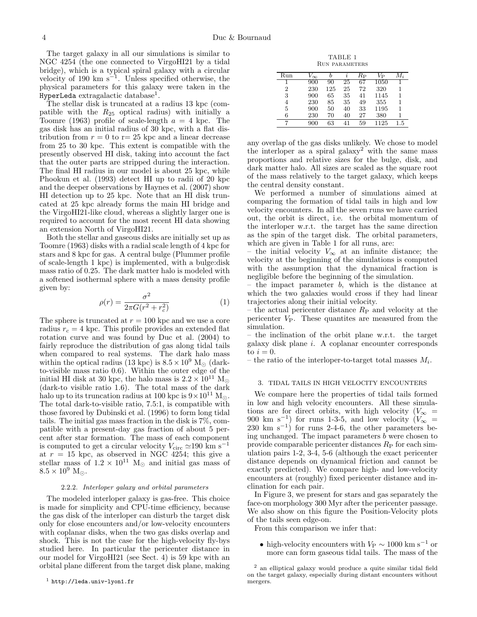The target galaxy in all our simulations is similar to NGC 4254 (the one connected to VirgoHI21 by a tidal bridge), which is a typical spiral galaxy with a circular velocity of 190 km s<sup>−</sup><sup>1</sup> . Unless specified otherwise, the physical parameters for this galaxy were taken in the  ${\tt HyperLeda}$  extragalactic database<sup>1</sup>.

The stellar disk is truncated at a radius 13 kpc (compatible with the  $R_{25}$  optical radius) with initially a Toomre (1963) profile of scale-length  $a = 4$  kpc. The gas disk has an initial radius of 30 kpc, with a flat distribution from  $r = 0$  to  $r = 25$  kpc and a linear decrease from 25 to 30 kpc. This extent is compatible with the presently observed HI disk, taking into account the fact that the outer parts are stripped during the interaction. The final HI radius in our model is about 25 kpc, while Phookun et al. (1993) detect HI up to radii of 20 kpc and the deeper observations by Haynes et al. (2007) show HI detection up to 25 kpc. Note that an HI disk truncated at 25 kpc already forms the main HI bridge and the VirgoHI21-like cloud, whereas a slightly larger one is required to account for the most recent HI data showing an extension North of VirgoHI21.

Both the stellar and gaseous disks are initially set up as Toomre (1963) disks with a radial scale length of 4 kpc for stars and 8 kpc for gas. A central bulge (Plummer profile of scale-length 1 kpc) is implemented, with a bulge:disk mass ratio of 0.25. The dark matter halo is modeled with a softened isothermal sphere with a mass density profile given by:

$$
\rho(r) = \frac{\sigma^2}{2\pi G(r^2 + r_c^2)}
$$
\n(1)

The sphere is truncated at  $r = 100$  kpc and we use a core radius  $r_c = 4$  kpc. This profile provides an extended flat rotation curve and was found by Duc et al. (2004) to fairly reproduce the distribution of gas along tidal tails when compared to real systems. The dark halo mass within the optical radius (13 kpc) is  $8.5 \times 10^9$  M<sub> $\odot$ </sub> (darkto-visible mass ratio 0.6). Within the outer edge of the initial HI disk at 30 kpc, the halo mass is  $2.2 \times 10^{11}$  M<sub>o</sub> (dark-to visible ratio 1.6). The total mass of the dark halo up to its truncation radius at 100 kpc is  $9 \times 10^{11}$  M<sub>o</sub>. The total dark-to-visible ratio, 7.5:1, is compatible with those favored by Dubinski et al. (1996) to form long tidal tails. The initial gas mass fraction in the disk is 7%, compatible with a present-day gas fraction of about 5 percent after star formation. The mass of each component is computed to get a circular velocity  $V_{\text{circ}} \simeq 190 \text{ km s}^{-1}$ at  $r = 15$  kpc, as observed in NGC 4254; this give a stellar mass of  $1.2 \times 10^{11}$  M<sub>o</sub> and initial gas mass of  $8.5 \times 10^9$  M<sub> $\odot$ </sub>.

### 2.2.2. Interloper galaxy and orbital parameters

The modeled interloper galaxy is gas-free. This choice is made for simplicity and CPU-time efficiency, because the gas disk of the interloper can disturb the target disk only for close encounters and/or low-velocity encounters with coplanar disks, when the two gas disks overlap and shock. This is not the case for the high-velocity fly-bys studied here. In particular the pericenter distance in our model for VirgoHI21 (see Sect. 4) is 59 kpc with an orbital plane different from the target disk plane, making

TABLE 1 Run parameters

| Run | $\infty$ |     | $\boldsymbol{\eta}$ | $R_{\rm P}$ | $V_{\rm P}$ | M i     |
|-----|----------|-----|---------------------|-------------|-------------|---------|
|     | 900      | 90  | 25                  | 67          | 1050        |         |
| 2   | 230      | 125 | 25                  | 72          | 320         | 1       |
| 3   | 900      | 65  | 35                  | 41          | 1145        | 1       |
| 4   | 230      | 85  | 35                  | 49          | 355         | 1       |
| 5   | 900      | 50  | 40                  | 33          | 1195        | 1       |
| 6   | 230      | 70  | 40                  | 27          | 380         |         |
|     | 900      | 63  | 41                  | 59          | 1125        | $1.5\,$ |

any overlap of the gas disks unlikely. We chose to model the interloper as a spiral galaxy<sup>2</sup> with the same mass proportions and relative sizes for the bulge, disk, and dark matter halo. All sizes are scaled as the square root of the mass relatively to the target galaxy, which keeps the central density constant.

We performed a number of simulations aimed at comparing the formation of tidal tails in high and low velocity encounters. In all the seven runs we have carried out, the orbit is direct, i.e. the orbital momentum of the interloper w.r.t. the target has the same direction as the spin of the target disk. The orbital parameters, which are given in Table 1 for all runs, are:

– the initial velocity  $V_{\infty}$  at an infinite distance; the velocity at the beginning of the simulations is computed with the assumption that the dynamical fraction is negligible before the beginning of the simulation.

– the impact parameter  $b$ , which is the distance at which the two galaxies would cross if they had linear trajectories along their initial velocity.

– the actual pericenter distance  $R_{\rm P}$  and velocity at the pericenter  $V_P$ . These quantites are measured from the simulation.

– the inclination of the orbit plane w.r.t. the target galaxy disk plane i. A coplanar encounter corresponds to  $i = 0$ .

– the ratio of the interloper-to-target total masses  $M_i$ .

### 3. TIDAL TAILS IN HIGH VELOCITY ENCOUNTERS

We compare here the properties of tidal tails formed in low and high velocity encounters. All these simulations are for direct orbits, with high velocity ( $V_{\infty}$  = 900 km s<sup>-1</sup>) for runs 1-3-5, and low velocity  $(V_{\infty}$  =  $230 \text{ km s}^{-1}$  for runs 2-4-6, the other parameters being unchanged. The impact parameters  $b$  were chosen to provide comparable pericenter distances  $R<sub>P</sub>$  for each simulation pairs 1-2, 3-4, 5-6 (although the exact pericenter distance depends on dynamical friction and cannot be exactly predicted). We compare high- and low-velocity encounters at (roughly) fixed pericenter distance and inclination for each pair.

In Figure 3, we present for stars and gas separately the face-on morphology 300 Myr after the pericenter passage. We also show on this figure the Position-Velocity plots of the tails seen edge-on.

From this comparison we infer that:

• high-velocity encounters with  $V_P \sim 1000 \text{ km s}^{-1}$  or more can form gaseous tidal tails. The mass of the

<sup>2</sup> an elliptical galaxy would produce a quite similar tidal field on the target galaxy, especially during distant encounters without mergers.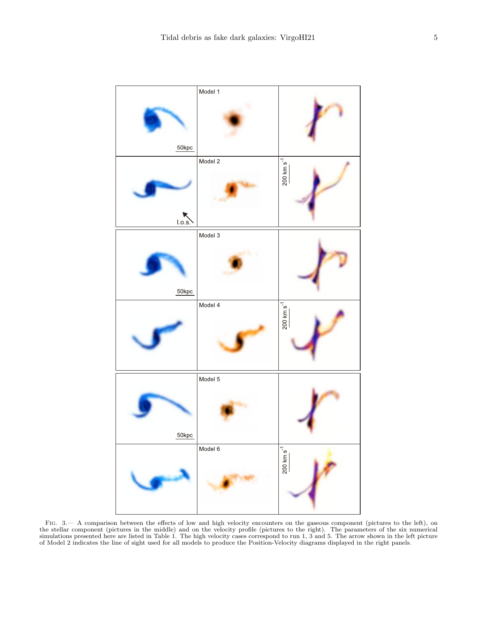

FIG. 3.— A comparison between the effects of low and high velocity encounters on the gaseous component (pictures to the left), on the stellar component (pictures in the middle) and on the velocity profile (pictures to the right). The parameters of the six numerical simulations presented here are listed in Table 1. The high velocity cases correspond to run 1, 3 and 5. The arrow shown in the left picture of Model 2 indicates the line of sight used for all models to produce the Position-Velocity diagrams displayed in the right panels.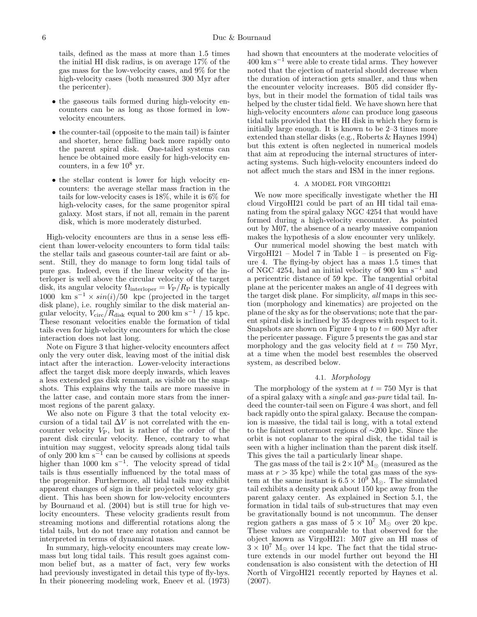tails, defined as the mass at more than 1.5 times the initial HI disk radius, is on average 17% of the gas mass for the low-velocity cases, and 9% for the high-velocity cases (both measured 300 Myr after the pericenter).

- the gaseous tails formed during high-velocity encounters can be as long as those formed in lowvelocity encounters.
- the counter-tail (opposite to the main tail) is fainter and shorter, hence falling back more rapidly onto the parent spiral disk. One-tailed systems can hence be obtained more easily for high-velocity encounters, in a few  $10^8$  yr.
- the stellar content is lower for high velocity encounters: the average stellar mass fraction in the tails for low-velocity cases is 18%, while it is 6% for high-velocity cases, for the same progenitor spiral galaxy. Most stars, if not all, remain in the parent disk, which is more moderately disturbed.

High-velocity encounters are thus in a sense less efficient than lower-velocity encounters to form tidal tails: the stellar tails and gaseous counter-tail are faint or absent. Still, they do manage to form long tidal tails of pure gas. Indeed, even if the linear velocity of the interloper is well above the circular velocity of the target disk, its angular velocity  $\Omega_{\text{interloper}} = V_P/R_P$  is typically 1000 km s<sup>-1</sup> ×  $sin(i)/50$  kpc (projected in the target disk plane), i.e. roughly similar to the disk material angular velocity,  $V_{\rm circ}/R_{\rm disk}$  equal to 200 km s<sup>-1</sup> / 15 kpc. These resonant velocities enable the formation of tidal tails even for high-velocity encounters for which the close interaction does not last long.

Note on Figure 3 that higher-velocity encounters affect only the very outer disk, leaving most of the initial disk intact after the interaction. Lower-velocity interactions affect the target disk more deeply inwards, which leaves a less extended gas disk remnant, as visible on the snapshots. This explains why the tails are more massive in the latter case, and contain more stars from the innermost regions of the parent galaxy.

We also note on Figure 3 that the total velocity excursion of a tidal tail  $\Delta V$  is not correlated with the encounter velocity  $V_P$ , but is rather of the order of the parent disk circular velocity. Hence, contrary to what intuition may suggest, velocity spreads along tidal tails of only 200  $\mathrm{km} \mathrm{ s}^{-1}$  can be caused by collisions at speeds higher than 1000 km s<sup>−</sup><sup>1</sup> . The velocity spread of tidal tails is thus essentially influenced by the total mass of the progenitor. Furthermore, all tidal tails may exhibit apparent changes of sign in their projected velocity gradient. This has been shown for low-velocity encounters by Bournaud et al. (2004) but is still true for high velocity encounters. These velocity gradients result from streaming motions and differential rotations along the tidal tails, but do not trace any rotation and cannot be interpreted in terms of dynamical mass.

In summary, high-velocity encounters may create lowmass but long tidal tails. This result goes against common belief but, as a matter of fact, very few works had previously investigated in detail this type of fly-bys. In their pioneering modeling work, Eneev et al. (1973)

had shown that encounters at the moderate velocities of  $400 \text{ km s}^{-1}$  were able to create tidal arms. They however noted that the ejection of material should decrease when the duration of interaction gets smaller, and thus when the encounter velocity increases. B05 did consider flybys, but in their model the formation of tidal tails was helped by the cluster tidal field. We have shown here that high-velocity encounters *alone* can produce long gaseous tidal tails provided that the HI disk in which they form is initially large enough. It is known to be 2–3 times more extended than stellar disks (e.g., Roberts & Haynes 1994) but this extent is often neglected in numerical models that aim at reproducing the internal structures of interacting systems. Such high-velocity encounters indeed do not affect much the stars and ISM in the inner regions.

### 4. A MODEL FOR VIRGOHI21

We now more specifically investigate whether the HI cloud VirgoHI21 could be part of an HI tidal tail emanating from the spiral galaxy NGC 4254 that would have formed during a high-velocity encounter. As pointed out by M07, the absence of a nearby massive companion makes the hypothesis of a slow encounter very unlikely.

Our numerical model showing the best match with VirgoHI21 – Model 7 in Table  $1$  – is presented on Figure 4. The flying-by object has a mass 1.5 times that of NGC 4254, had an initial velocity of 900 km s<sup>−</sup><sup>1</sup> and a pericentric distance of 59 kpc. The tangential orbital plane at the pericenter makes an angle of 41 degrees with the target disk plane. For simplicity, all maps in this section (morphology and kinematics) are projected on the plane of the sky as for the observations; note that the parent spiral disk is inclined by 35 degrees with respect to it. Snapshots are shown on Figure 4 up to  $t = 600$  Myr after the pericenter passage. Figure 5 presents the gas and star morphology and the gas velocity field at  $t = 750$  Myr, at a time when the model best resembles the observed system, as described below.

## 4.1. Morphology

The morphology of the system at  $t = 750$  Myr is that of a spiral galaxy with a single and gas-pure tidal tail. Indeed the counter-tail seen on Figure 4 was short, and fell back rapidly onto the spiral galaxy. Because the companion is massive, the tidal tail is long, with a total extend to the faintest outermost regions of ∼200 kpc. Since the orbit is not coplanar to the spiral disk, the tidal tail is seen with a higher inclination than the parent disk itself. This gives the tail a particularly linear shape.

The gas mass of the tail is  $2 \times 10^8$  M<sub>o</sub> (measured as the mass at  $r > 35$  kpc) while the total gas mass of the system at the same instant is  $6.5 \times 10^9$  M<sub> $\odot$ </sub>. The simulated tail exhibits a density peak about 150 kpc away from the parent galaxy center. As explained in Section 5.1, the formation in tidal tails of sub-structures that may even be gravitationally bound is not uncommun. The denser region gathers a gas mass of  $5 \times 10^7$  M<sub> $\odot$ </sub> over 20 kpc. These values are comparable to that observed for the object known as VirgoHI21: M07 give an HI mass of  $3 \times 10^7$  M<sub> $\odot$ </sub> over 14 kpc. The fact that the tidal structure extends in our model further out beyond the HI condensation is also consistent with the detection of HI North of VirgoHI21 recently reported by Haynes et al. (2007).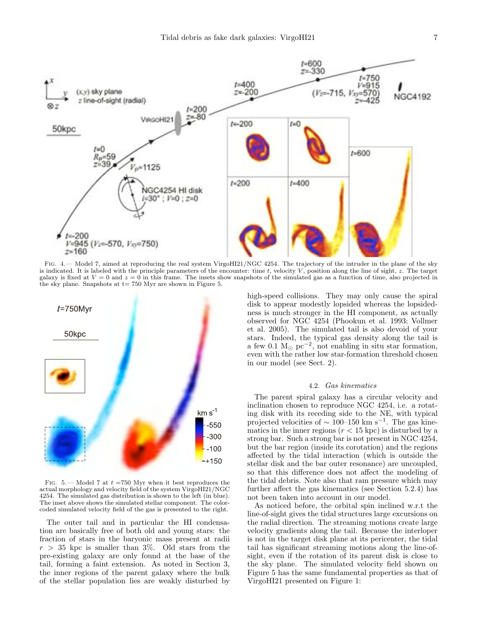

FIG. 4.— Model 7, aimed at reproducing the real system VirgoHI21/NGC 4254. The trajectory of the intruder in the plane of the sky is indicated. It is labeled with the principle parameters of the encounter: time  $t$ , velocity  $V$ , position along the line of sight,  $z$ . The target galaxy is fixed at  $V = 0$  and  $z = 0$  in this frame. The insets show snapshots of the simulated gas as a function of time, also projected in the sky plane. Snapshots at  $t= 750$  Myr are shown in Figure 5.



FIG. 5.— Model 7 at  $t = 750$  Myr when it best reproduces the actual morphology and velocity field of the system VirgoHI21/NGC 4254. The simulated gas distribution is shown to the left (in blue). The inset above shows the simulated stellar component. The colorcoded simulated velocity field of the gas is presented to the right.

The outer tail and in particular the HI condensation are basically free of both old and young stars: the fraction of stars in the baryonic mass present at radii  $r > 35$  kpc is smaller than 3%. Old stars from the pre-existing galaxy are only found at the base of the tail, forming a faint extension. As noted in Section 3, the inner regions of the parent galaxy where the bulk of the stellar population lies are weakly disturbed by

high-speed collisions. They may only cause the spiral disk to appear modestly lopsided whereas the lopsidedness is much stronger in the HI component, as actually observed for NGC 4254 (Phookun et al. 1993; Vollmer et al. 2005). The simulated tail is also devoid of your stars. Indeed, the typical gas density along the tail is a few 0.1 M<sub>o</sub>  $pc^{-2}$ , not enabling in situ star formation, even with the rather low star-formation threshold chosen in our model (see Sect. 2).

## 4.2. Gas kinematics

The parent spiral galaxy has a circular velocity and inclination chosen to reproduce NGC 4254, i.e. a rotating disk with its receding side to the NE, with typical projected velocities of  $\sim$  100–150 km s<sup>-1</sup>. The gas kinematics in the inner regions  $(r < 15$  kpc) is disturbed by a strong bar. Such a strong bar is not present in NGC 4254, but the bar region (inside its corotation) and the regions affected by the tidal interaction (which is outside the stellar disk and the bar outer resonance) are uncoupled, so that this difference does not affect the modeling of the tidal debris. Note also that ram pressure which may further affect the gas kinematics (see Section 5.2.4) has not been taken into account in our model.

As noticed before, the orbital spin inclined w.r.t the line-of-sight gives the tidal structures large excursions on the radial direction. The streaming motions create large velocity gradients along the tail. Because the interloper is not in the target disk plane at its pericenter, the tidal tail has significant streaming motions along the line-ofsight, even if the rotation of its parent disk is close to the sky plane. The simulated velocity field shown on Figure 5 has the same fundamental properties as that of VirgoHI21 presented on Figure 1: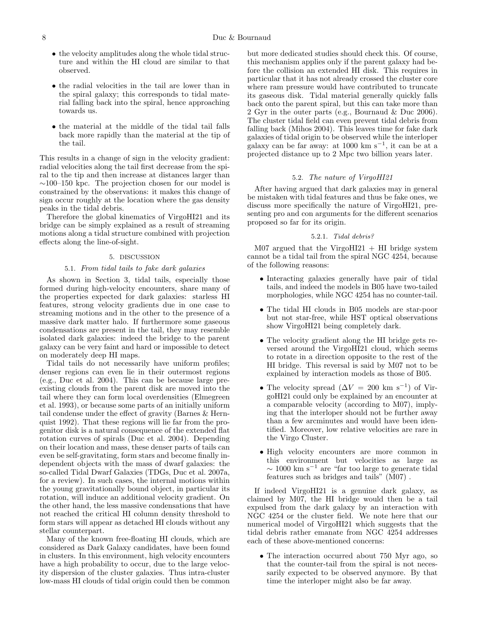- the velocity amplitudes along the whole tidal structure and within the HI cloud are similar to that observed.
- the radial velocities in the tail are lower than in the spiral galaxy; this corresponds to tidal material falling back into the spiral, hence approaching towards us.
- the material at the middle of the tidal tail falls back more rapidly than the material at the tip of the tail.

This results in a change of sign in the velocity gradient: radial velocities along the tail first decrease from the spiral to the tip and then increase at distances larger than  $\sim$ 100–150 kpc. The projection chosen for our model is constrained by the observations: it makes this change of sign occur roughly at the location where the gas density peaks in the tidal debris.

Therefore the global kinematics of VirgoHI21 and its bridge can be simply explained as a result of streaming motions along a tidal structure combined with projection effects along the line-of-sight.

### 5. DISCUSSION

## 5.1. From tidal tails to fake dark galaxies

As shown in Section 3, tidal tails, especially those formed during high-velocity encounters, share many of the properties expected for dark galaxies: starless HI features, strong velocity gradients due in one case to streaming motions and in the other to the presence of a massive dark matter halo. If furthermore some gaseous condensations are present in the tail, they may resemble isolated dark galaxies: indeed the bridge to the parent galaxy can be very faint and hard or impossible to detect on moderately deep HI maps.

Tidal tails do not necessarily have uniform profiles; denser regions can even lie in their outermost regions (e.g., Duc et al. 2004). This can be because large preexisting clouds from the parent disk are moved into the tail where they can form local overdensities (Elmegreen et al. 1993), or because some parts of an initially uniform tail condense under the effect of gravity (Barnes & Hernquist 1992). That these regions will lie far from the progenitor disk is a natural consequence of the extended flat rotation curves of spirals (Duc et al. 2004). Depending on their location and mass, these denser parts of tails can even be self-gravitating, form stars and become finally independent objects with the mass of dwarf galaxies: the so-called Tidal Dwarf Galaxies (TDGs, Duc et al. 2007a, for a review). In such cases, the internal motions within the young gravitationally bound object, in particular its rotation, will induce an additional velocity gradient. On the other hand, the less massive condensations that have not reached the critical HI column density threshold to form stars will appear as detached HI clouds without any stellar counterpart.

Many of the known free-floating HI clouds, which are considered as Dark Galaxy candidates, have been found in clusters. In this environment, high velocity encounters have a high probability to occur, due to the large velocity dispersion of the cluster galaxies. Thus intra-cluster low-mass HI clouds of tidal origin could then be common

but more dedicated studies should check this. Of course, this mechanism applies only if the parent galaxy had before the collision an extended HI disk. This requires in particular that it has not already crossed the cluster core where ram pressure would have contributed to truncate its gaseous disk. Tidal material generally quickly falls back onto the parent spiral, but this can take more than 2 Gyr in the outer parts (e.g., Bournaud & Duc 2006). The cluster tidal field can even prevent tidal debris from falling back (Mihos 2004). This leaves time for fake dark galaxies of tidal origin to be observed while the interloper galaxy can be far away: at 1000 km s<sup>−</sup><sup>1</sup> , it can be at a projected distance up to 2 Mpc two billion years later.

## 5.2. The nature of VirgoHI21

After having argued that dark galaxies may in general be mistaken with tidal features and thus be fake ones, we discuss more specifically the nature of VirgoHI21, presenting pro and con arguments for the different scenarios proposed so far for its origin.

## 5.2.1. Tidal debris?

 $M07$  argued that the VirgoHI21 + HI bridge system cannot be a tidal tail from the spiral NGC 4254, because of the following reasons:

- Interacting galaxies generally have pair of tidal tails, and indeed the models in B05 have two-tailed morphologies, while NGC 4254 has no counter-tail.
- The tidal HI clouds in B05 models are star-poor but not star-free, while HST optical observations show VirgoHI21 being completely dark.
- The velocity gradient along the HI bridge gets reversed around the VirgoHI21 cloud, which seems to rotate in a direction opposite to the rest of the HI bridge. This reversal is said by M07 not to be explained by interaction models as those of B05.
- The velocity spread  $(\Delta V = 200 \text{ km s}^{-1})$  of VirgoHI21 could only be explained by an encounter at a comparable velocity (according to M07), implying that the interloper should not be further away than a few arcminutes and would have been identified. Moreover, low relative velocities are rare in the Virgo Cluster.
- High velocity encounters are more common in this environment but velocities as large as  $\sim 1000 \text{ km s}^{-1}$  are "far too large to generate tidal" features such as bridges and tails" (M07) .

If indeed VirgoHI21 is a genuine dark galaxy, as claimed by M07, the HI bridge would then be a tail expulsed from the dark galaxy by an interaction with NGC 4254 or the cluster field. We note here that our numerical model of VirgoHI21 which suggests that the tidal debris rather emanate from NGC 4254 addresses each of these above-mentioned concerns:

• The interaction occurred about 750 Myr ago, so that the counter-tail from the spiral is not necessarily expected to be observed anymore. By that time the interloper might also be far away.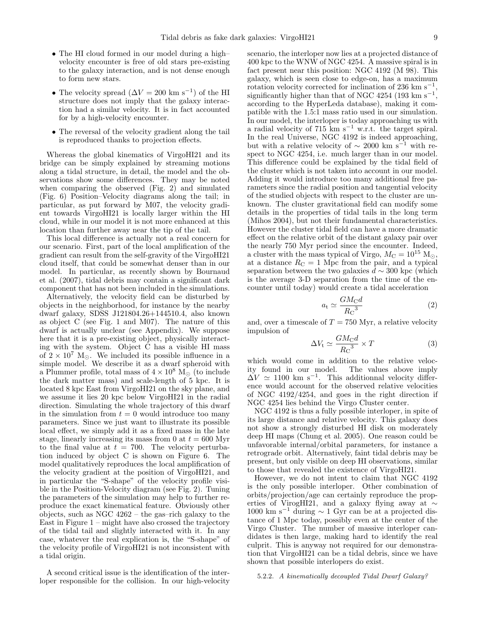- The HI cloud formed in our model during a high– velocity encounter is free of old stars pre-existing to the galaxy interaction, and is not dense enough to form new stars.
- The velocity spread  $(\Delta V = 200 \text{ km s}^{-1})$  of the HI structure does not imply that the galaxy interaction had a similar velocity. It is in fact accounted for by a high-velocity encounter.
- The reversal of the velocity gradient along the tail is reproduced thanks to projection effects.

Whereas the global kinematics of VirgoHI21 and its bridge can be simply explained by streaming motions along a tidal structure, in detail, the model and the observations show some differences. They may be noted when comparing the observed (Fig. 2) and simulated (Fig. 6) Position–Velocity diagrams along the tail; in particular, as put forward by M07, the velocity gradient towards VirgoHI21 is locally larger within the HI cloud, while in our model it is not more enhanced at this location than further away near the tip of the tail.

This local difference is actually not a real concern for our scenario. First, part of the local amplification of the gradient can result from the self-gravity of the VirgoHI21 cloud itself, that could be somewhat denser than in our model. In particular, as recently shown by Bournaud et al. (2007), tidal debris may contain a significant dark component that has not been included in the simulations.

Alternatively, the velocity field can be disturbed by objects in the neighborhood, for instance by the nearby dwarf galaxy, SDSS J121804.26+144510.4, also known as object C (see Fig. 1 and M07). The nature of this dwarf is actually unclear (see Appendix). We suppose here that it is a pre-existing object, physically interacting with the system. Object C has a visible HI mass of  $2 \times 10^7$  M<sub> $\odot$ </sub>. We included its possible influence in a simple model. We describe it as a dwarf spheroid with a Plummer profile, total mass of  $4 \times 10^8$  M<sub>o</sub> (to include the dark matter mass) and scale-length of 5 kpc. It is located 8 kpc East from VirgoHI21 on the sky plane, and we assume it lies 20 kpc below VirgoHI21 in the radial direction. Simulating the whole trajectory of this dwarf in the simulation from  $t = 0$  would introduce too many parameters. Since we just want to illustrate its possible local effect, we simply add it as a fixed mass in the late stage, linearly increasing its mass from 0 at  $t = 600$  Myr to the final value at  $t = 700$ . The velocity perturbation induced by object C is shown on Figure 6. The model qualitatively reproduces the local amplification of the velocity gradient at the position of VirgoHI21, and in particular the "S-shape" of the velocity profile visible in the Position-Velocity diagram (see Fig. 2). Tuning the parameters of the simulation may help to further reproduce the exact kinematical feature. Obviously other objects, such as NGC 4262 – the gas–rich galaxy to the East in Figure 1 – might have also crossed the trajectory of the tidal tail and slightly interacted with it. In any case, whatever the real explication is, the "S-shape" of the velocity profile of VirgoHI21 is not inconsistent with a tidal origin.

A second critical issue is the identification of the interloper responsible for the collision. In our high-velocity scenario, the interloper now lies at a projected distance of 400 kpc to the WNW of NGC 4254. A massive spiral is in fact present near this position: NGC 4192 (M 98). This galaxy, which is seen close to edge-on, has a maximum rotation velocity corrected for inclination of 236 km s<sup>-1</sup>, significantly higher than that of NGC 4254 (193 km s<sup>-1</sup>, according to the HyperLeda database), making it compatible with the 1.5:1 mass ratio used in our simulation. In our model, the interloper is today approaching us with a radial velocity of 715 km s<sup>−</sup><sup>1</sup> w.r.t. the target spiral. In the real Universe, NGC 4192 is indeed approaching, but with a relative velocity of  $\sim 2000 \text{ km s}^{-1}$  with respect to NGC 4254, i.e. much larger than in our model. This difference could be explained by the tidal field of the cluster which is not taken into account in our model. Adding it would introduce too many additional free parameters since the radial position and tangential velocity of the studied objects with respect to the cluster are unknown. The cluster gravitational field can modify some details in the properties of tidal tails in the long term (Mihos 2004), but not their fundamental characteristics. However the cluster tidal field can have a more dramatic effect on the relative orbit of the distant galaxy pair over the nearly 750 Myr period since the encounter. Indeed, a cluster with the mass typical of Virgo,  $M_C = 10^{15}$  M<sub>O</sub>, at a distance  $R<sub>C</sub> = 1$  Mpc from the pair, and a typical separation between the two galaxies  $d \sim 300$  kpc (which is the average 3-D separation from the time of the encounter until today) would create a tidal acceleration

$$
a_{\rm t} \simeq \frac{GM_{\rm C}d}{R_{\rm C}^3} \tag{2}
$$

and, over a timescale of  $T = 750$  Myr, a relative velocity impulsion of

$$
\Delta V_{\rm t} \simeq \frac{GM_{\rm C}d}{R_{\rm C}^{3}} \times T \tag{3}
$$

which would come in addition to the relative velocity found in our model. The values above imply  $\Delta V \simeq 1100 \text{ km s}^{-1}$ . This additionnal velocity difference would account for the observed relative velocities of NGC 4192/4254, and goes in the right direction if NGC 4254 lies behind the Virgo Cluster center.

NGC 4192 is thus a fully possible interloper, in spite of its large distance and relative velocity. This galaxy does not show a strongly disturbed HI disk on moderately deep HI maps (Chung et al. 2005). One reason could be unfavorable internal/orbital parameters, for instance a retrograde orbit. Alternatively, faint tidal debris may be present, but only visible on deep HI observations, similar to those that revealed the existence of VirgoHI21.

However, we do not intent to claim that NGC 4192 is the only possible interloper. Other combination of orbits/projection/age can certainly reproduce the properties of VirogHI21, and a galaxy flying away at  $\sim$  $1000 \text{ km s}^{-1}$  during  $\sim 1 \text{ Gyr}$  can be at a projected distance of 1 Mpc today, possibly even at the center of the Virgo Cluster. The number of massive interloper candidates is then large, making hard to identify the real culprit. This is anyway not required for our demonstration that VirgoHI21 can be a tidal debris, since we have shown that possible interlopers do exist.

## 5.2.2. A kinematically decoupled Tidal Dwarf Galaxy?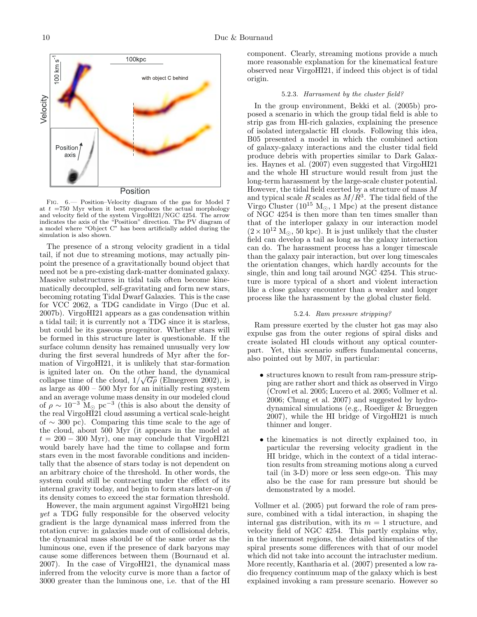

Fig. 6.— Position–Velocity diagram of the gas for Model 7 at  $t = 750$  Myr when it best reproduces the actual morphology and velocity field of the system VirgoHI21/NGC 4254. The arrow indicates the axis of the "Position" direction. The PV diagram of a model where "Object C" has been artificially added during the simulation is also shown.

The presence of a strong velocity gradient in a tidal tail, if not due to streaming motions, may actually pinpoint the presence of a gravitationally bound object that need not be a pre-existing dark-matter dominated galaxy. Massive substructures in tidal tails often become kinematically decoupled, self-gravitating and form new stars, becoming rotating Tidal Dwarf Galaxies. This is the case for VCC 2062, a TDG candidate in Virgo (Duc et al. 2007b). VirgoHI21 appears as a gas condensation within a tidal tail; it is currently not a TDG since it is starless, but could be its gaseous progenitor. Whether stars will be formed in this structure later is questionable. If the surface column density has remained unusually very low during the first several hundreds of Myr after the formation of VirgoHI21, it is unlikely that star-formation is ignited later on. On the other hand, the dynamical collapse time of the cloud,  $1/\sqrt{G\rho}$  (Elmegreen 2002), is as large as  $400 - 500$  Myr for an initially resting system and an average volume mass density in our modeled cloud of  $\rho \sim 10^{-3}$  M<sub>o</sub> pc<sup>-3</sup> (this is also about the density of the real VirgoHI21 cloud assuming a vertical scale-height of ∼ 300 pc). Comparing this time scale to the age of the cloud, about 500 Myr (it appears in the model at  $t = 200 - 300$  Myr), one may conclude that VirgoHI21 would barely have had the time to collapse and form stars even in the most favorable conditions and incidentally that the absence of stars today is not dependent on an arbitrary choice of the threshold. In other words, the system could still be contracting under the effect of its internal gravity today, and begin to form stars later-on if its density comes to exceed the star formation threshold.

However, the main argument against VirgoHI21 being yet a TDG fully responsible for the observed velocity gradient is the large dynamical mass inferred from the rotation curve: in galaxies made out of collisional debris, the dynamical mass should be of the same order as the luminous one, even if the presence of dark baryons may cause some differences between them (Bournaud et al. 2007). In the case of VirgoHI21, the dynamical mass inferred from the velocity curve is more than a factor of 3000 greater than the luminous one, i.e. that of the HI

component. Clearly, streaming motions provide a much more reasonable explanation for the kinematical feature observed near VirgoHI21, if indeed this object is of tidal origin.

## 5.2.3. Harrasment by the cluster field?

In the group environment, Bekki et al. (2005b) proposed a scenario in which the group tidal field is able to strip gas from HI-rich galaxies, explaining the presence of isolated intergalactic HI clouds. Following this idea, B05 presented a model in which the combined action of galaxy-galaxy interactions and the cluster tidal field produce debris with properties similar to Dark Galaxies. Haynes et al. (2007) even suggested that VirgoHI21 and the whole HI structure would result from just the long-term harassment by the large-scale cluster potential. However, the tidal field exerted by a structure of mass  $M$ and typical scale R scales as  $M/R^3$ . The tidal field of the Virgo Cluster (10<sup>15</sup> M<sub>o</sub>, 1 Mpc) at the present distance of NGC 4254 is then more than ten times smaller than that of the interloper galaxy in our interaction model  $(2 \times 10^{12} \text{ M}_{\odot}, 50 \text{ kpc})$ . It is just unlikely that the cluster field can develop a tail as long as the galaxy interaction can do. The harassment process has a longer timescale than the galaxy pair interaction, but over long timescales the orientation changes, which hardly accounts for the single, thin and long tail around NGC 4254. This structure is more typical of a short and violent interaction like a close galaxy encounter than a weaker and longer process like the harassment by the global cluster field.

## 5.2.4. Ram pressure stripping?

Ram pressure exerted by the cluster hot gas may also expulse gas from the outer regions of spiral disks and create isolated HI clouds without any optical counterpart. Yet, this scenario suffers fundamental concerns, also pointed out by M07, in particular:

- structures known to result from ram-pressure stripping are rather short and thick as observed in Virgo (Crowl et al. 2005; Lucero et al. 2005; Vollmer et al. 2006; Chung et al. 2007) and suggested by hydrodynamical simulations (e.g., Roediger & Brueggen 2007), while the HI bridge of VirgoHI21 is much thinner and longer.
- the kinematics is not directly explained too, in particular the reversing velocity gradient in the HI bridge, which in the context of a tidal interaction results from streaming motions along a curved tail (in 3-D) more or less seen edge-on. This may also be the case for ram pressure but should be demonstrated by a model.

Vollmer et al. (2005) put forward the role of ram pressure, combined with a tidal interaction, in shaping the internal gas distribution, with its  $m = 1$  structure, and velocity field of NGC 4254. This partly explains why, in the innermost regions, the detailed kinematics of the spiral presents some differences with that of our model which did not take into account the intracluster medium. More recently, Kantharia et al. (2007) presented a low radio frequency continuum map of the galaxy which is best explained invoking a ram pressure scenario. However so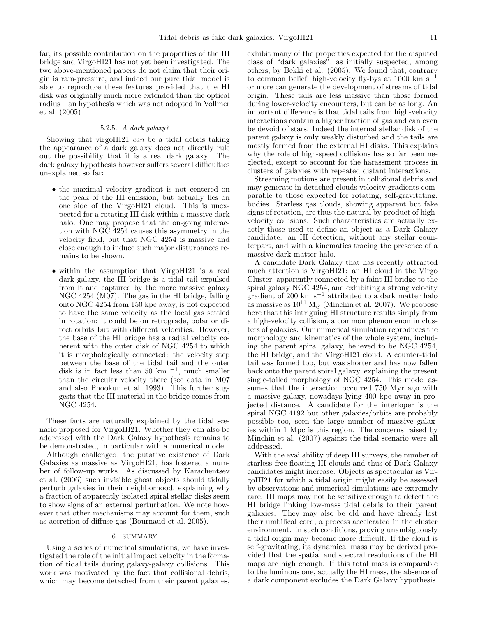far, its possible contribution on the properties of the HI bridge and VirgoHI21 has not yet been investigated. The two above-mentioned papers do not claim that their origin is ram-pressure, and indeed our pure tidal model is able to reproduce these features provided that the HI disk was originally much more extended than the optical radius – an hypothesis which was not adopted in Vollmer et al. (2005).

# 5.2.5. A dark galaxy?

Showing that virgoHI21 can be a tidal debris taking the appearance of a dark galaxy does not directly rule out the possibility that it is a real dark galaxy. The dark galaxy hypothesis however suffers several difficulties unexplained so far:

- the maximal velocity gradient is not centered on the peak of the HI emission, but actually lies on one side of the VirgoHI21 cloud. This is unexpected for a rotating HI disk within a massive dark halo. One may propose that the on-going interaction with NGC 4254 causes this asymmetry in the velocity field, but that NGC 4254 is massive and close enough to induce such major disturbances remains to be shown.
- within the assumption that VirgoHI21 is a real dark galaxy, the HI bridge is a tidal tail expulsed from it and captured by the more massive galaxy NGC 4254 (M07). The gas in the HI bridge, falling onto NGC 4254 from 150 kpc away, is not expected to have the same velocity as the local gas settled in rotation: it could be on retrograde, polar or direct orbits but with different velocities. However, the base of the HI bridge has a radial velocity coherent with the outer disk of NGC 4254 to which it is morphologically connected: the velocity step between the base of the tidal tail and the outer disk is in fact less than  $50 \text{ km}^{-1}$ , much smaller than the circular velocity there (see data in M07 and also Phookun et al. 1993). This further suggests that the HI material in the bridge comes from NGC 4254.

These facts are naturally explained by the tidal scenario proposed for VirgoHI21. Whether they can also be addressed with the Dark Galaxy hypothesis remains to be demonstrated, in particular with a numerical model.

Although challenged, the putative existence of Dark Galaxies as massive as VirgoHI21, has fostered a number of follow-up works. As discussed by Karachentsev et al. (2006) such invisible ghost objects should tidally perturb galaxies in their neighborhood, explaining why a fraction of apparently isolated spiral stellar disks seem to show signs of an external perturbation. We note however that other mechanisms may account for them, such as accretion of diffuse gas (Bournaud et al. 2005).

### 6. SUMMARY

Using a series of numerical simulations, we have investigated the role of the initial impact velocity in the formation of tidal tails during galaxy-galaxy collisions. This work was motivated by the fact that collisional debris, which may become detached from their parent galaxies,

exhibit many of the properties expected for the disputed class of "dark galaxies", as initially suspected, among others, by Bekki et al. (2005). We found that, contrary to common belief, high-velocity fly-bys at  $1000 \text{ km s}^{-1}$ or more can generate the development of streams of tidal origin. These tails are less massive than those formed during lower-velocity encounters, but can be as long. An important difference is that tidal tails from high-velocity interactions contain a higher fraction of gas and can even be devoid of stars. Indeed the internal stellar disk of the parent galaxy is only weakly disturbed and the tails are mostly formed from the external HI disks. This explains why the role of high-speed collisions has so far been neglected, except to account for the harassment process in clusters of galaxies with repeated distant interactions.

Streaming motions are present in collisional debris and may generate in detached clouds velocity gradients comparable to those expected for rotating, self-gravitating, bodies. Starless gas clouds, showing apparent but fake signs of rotation, are thus the natural by-product of highvelocity collisions. Such characteristics are actually exactly those used to define an object as a Dark Galaxy candidate: an HI detection, without any stellar counterpart, and with a kinematics tracing the presence of a massive dark matter halo.

A candidate Dark Galaxy that has recently attracted much attention is VirgoHI21: an HI cloud in the Virgo Cluster, apparently connected by a faint HI bridge to the spiral galaxy NGC 4254, and exhibiting a strong velocity gradient of 200 km s<sup> $-1$ </sup> attributed to a dark matter halo as massive as  $10^{11}$  M<sub> $\odot$ </sub> (Minchin et al. 2007). We propose here that this intriguing HI structure results simply from a high-velocity collision, a common phenomenon in clusters of galaxies. Our numerical simulation reproduces the morphology and kinematics of the whole system, including the parent spiral galaxy, believed to be NGC 4254, the HI bridge, and the VirgoHI21 cloud. A counter-tidal tail was formed too, but was shorter and has now fallen back onto the parent spiral galaxy, explaining the present single-tailed morphology of NGC 4254. This model assumes that the interaction occurred 750 Myr ago with a massive galaxy, nowadays lying 400 kpc away in projected distance. A candidate for the interloper is the spiral NGC 4192 but other galaxies/orbits are probably possible too, seen the large number of massive galaxies within 1 Mpc is this region. The concerns raised by Minchin et al. (2007) against the tidal scenario were all addressed.

With the availability of deep HI surveys, the number of starless free floating HI clouds and thus of Dark Galaxy candidates might increase. Objects as spectacular as VirgoHI21 for which a tidal origin might easily be assessed by observations and numerical simulations are extremely rare. HI maps may not be sensitive enough to detect the HI bridge linking low-mass tidal debris to their parent galaxies. They may also be old and have already lost their umbilical cord, a process accelerated in the cluster environment. In such conditions, proving unambiguously a tidal origin may become more difficult. If the cloud is self-gravitating, its dynamical mass may be derived provided that the spatial and spectral resolutions of the HI maps are high enough. If this total mass is comparable to the luminous one, actually the HI mass, the absence of a dark component excludes the Dark Galaxy hypothesis.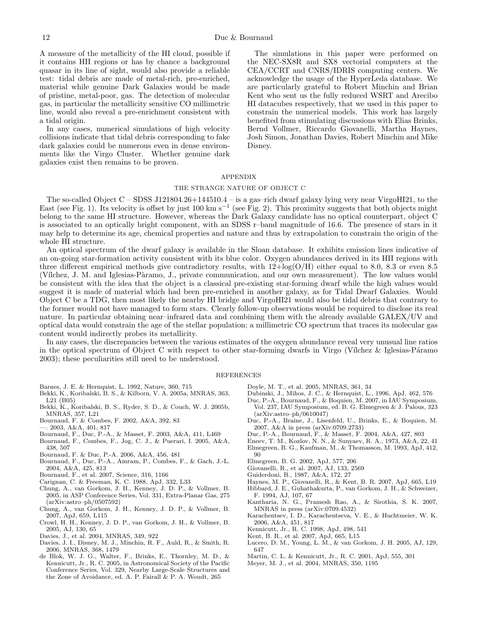A measure of the metallicity of the HI cloud, possible if it contains HII regions or has by chance a background quasar in its line of sight, would also provide a reliable test: tidal debris are made of metal-rich, pre-enriched, material while genuine Dark Galaxies would be made of pristine, metal-poor, gas. The detection of molecular gas, in particular the metallicity sensitive CO millimetric line, would also reveal a pre-enrichment consistent with a tidal origin.

In any cases, numerical simulations of high velocity collisions indicate that tidal debris corresponding to fake dark galaxies could be numerous even in dense environments like the Virgo Cluster. Whether genuine dark galaxies exist then remains to be proven.

The simulations in this paper were performed on the NEC-SX8R and SX8 vectorial computers at the CEA/CCRT and CNRS/IDRIS computing centers. We acknowledge the usage of the HyperLeda database. We are particularly grateful to Robert Minchin and Brian Kent who sent us the fully reduced WSRT and Arecibo HI datacubes respectively, that we used in this paper to constrain the numerical models. This work has largely benefited from stimulating discussions with Elias Brinks, Bernd Vollmer, Riccardo Giovanelli, Martha Haynes, Josh Simon, Jonathan Davies, Robert Minchin and Mike Disney.

### APPENDIX

## THE STRANGE NATURE OF OBJECT C

The so-called Object  $C$  – SDSS J121804.26+144510.4 – is a gas-rich dwarf galaxy lying very near VirgoHI21, to the East (see Fig. 1). Its velocity is offset by just 100 km s<sup>-1</sup> (see Fig. 2). This proximity suggests that both objects might belong to the same HI structure. However, whereas the Dark Galaxy candidate has no optical counterpart, object C is associated to an optically bright component, with an SDSS r–band magnitude of 16.6. The presence of stars in it may help to determine its age, chemical properties and nature and thus by extrapolation to constrain the origin of the whole HI structure.

An optical spectrum of the dwarf galaxy is available in the Sloan database. It exhibits emission lines indicative of an on-going star-formation activity consistent with its blue color. Oxygen abundances derived in its HII regions with three different empirical methods give contradictory results, with  $12 + \log(O/H)$  either equal to 8.0, 8.3 or even 8.5 (Vílchez, J. M. and Iglesias-Pàramo, J., private communication, and our own measurement). The low values would be consistent with the idea that the object is a classical pre-existing star-forming dwarf while the high values would suggest it is made of material which had been pre-enriched in another galaxy, as for Tidal Dwarf Galaxies. Would Object C be a TDG, then most likely the nearby HI bridge and VirgoHI21 would also be tidal debris that contrary to the former would not have managed to form stars. Clearly follow-up observations would be required to disclose its real nature. In particular obtaining near–infrared data and combining them with the already available GALEX/UV and optical data would constrain the age of the stellar population; a millimetric CO spectrum that traces its molecular gas content would indirectly probes its metallicity.

In any cases, the discrepancies between the various estimates of the oxygen abundance reveal very unusual line ratios in the optical spectrum of Object C with respect to other star-forming dwarfs in Virgo (Vílchez & Iglesias-Páramo 2003); these peculiarities still need to be understood.

### **REFERENCES**

- Barnes, J. E. & Hernquist, L. 1992, Nature, 360, 715
- Bekki, K., Koribalski, B. S., & Kilborn, V. A. 2005a, MNRAS, 363, L21 (B05)
- Bekki, K., Koribalski, B. S., Ryder, S. D., & Couch, W. J. 2005b, MNRAS, 357, L21
- Bournaud, F. & Combes, F. 2002, A&A, 392, 83
- —. 2003, A&A, 401, 817
- Bournaud, F., Duc, P.-A., & Masset, F. 2003, A&A, 411, L469
- Bournaud, F., Combes, F., Jog, C. J., & Puerari, I. 2005, A&A, 438, 507
- Bournaud, F. & Duc, P.-A. 2006, A&A, 456, 481
- Bournaud, F., Duc, P.-A., Amram, P., Combes, F., & Gach, J.-L. 2004, A&A, 425, 813
- Bournaud, F., et al. 2007, Science, 316, 1166
- Carignan, C. & Freeman, K. C. 1988, ApJ, 332, L33
- Chung, A., van Gorkom, J. H., Kenney, J. D. P., & Vollmer, B. 2005, in ASP Conference Series, Vol. 331, Extra-Planar Gas, 275 (arXiv:astro–ph/0507592)
- Chung, A., van Gorkom, J. H., Kenney, J. D. P., & Vollmer, B. 2007, ApJ, 659, L115
- Crowl, H. H., Kenney, J. D. P., van Gorkom, J. H., & Vollmer, B. 2005, AJ, 130, 65
- Davies, J., et al. 2004, MNRAS, 349, 922
- Davies, J. I., Disney, M. J., Minchin, R. F., Auld, R., & Smith, R. 2006, MNRAS, 368, 1479
- de Blok, W. J. G., Walter, F., Brinks, E., Thornley, M. D., & Kennicutt, Jr., R. C. 2005, in Astronomical Society of the Pacific Conference Series, Vol. 329, Nearby Large-Scale Structures and the Zone of Avoidance, ed. A. P. Fairall & P. A. Woudt, 265
- Doyle, M. T., et al. 2005, MNRAS, 361, 34
- Dubinski, J., Mihos, J. C., & Hernquist, L., 1996, ApJ, 462, 576
- Duc, P.-A., Bournaud, F., & Boquien, M. 2007, in IAU Symposium, Vol. 237, IAU Symposium, ed. B. G. Elmegreen & J. Palous, 323  $(axXiv:astro-ph/0610047)$
- Duc, P.-A., Braine, J., Lisenfeld, U., Brinks, E., & Boquien, M. 2007, A&A in press (arXiv:0709.2733)
- Duc, P.-A., Bournaud, F., & Masset, F. 2004, A&A, 427, 803
- Eneev, T. M., Kozlov, N. N., & Sunyaev, R. A., 1973, A&A, 22, 41
- Elmegreen, B. G., Kaufman, M., & Thomasson, M. 1993, ApJ, 412, 90
- Elmegreen, B. G. 2002, ApJ, 577, 206
- Giovanelli, R., et al. 2007, AJ, 133, 2569
- Guiderdoni, B., 1987, A&A, 172, 27
- 
- Haynes, M. P., Giovanelli, R., & Kent, B. R. 2007, ApJ, 665, L19
- Hibbard, J. E., Guhathakurta, P., van Gorkom, J. H., & Schweizer, F. 1994, AJ, 107, 67
- Kantharia, N. G., Pramesh Rao, A., & Sirothia, S. K. 2007, MNRAS in press (arXiv:0709.4532)
- Karachentsev, I. D., Karachentseva, V. E., & Huchtmeier, W. K. 2006, A&A, 451, 817
- Kennicutt, Jr., R. C. 1998, ApJ, 498, 541
- Kent, B. R., et al. 2007, ApJ, 665, L15
- Lucero, D. M., Young, L. M., & van Gorkom, J. H. 2005, AJ, 129, 647
- Martin, C. L. & Kennicutt, Jr., R. C. 2001, ApJ, 555, 301
- Meyer, M. J., et al. 2004, MNRAS, 350, 1195